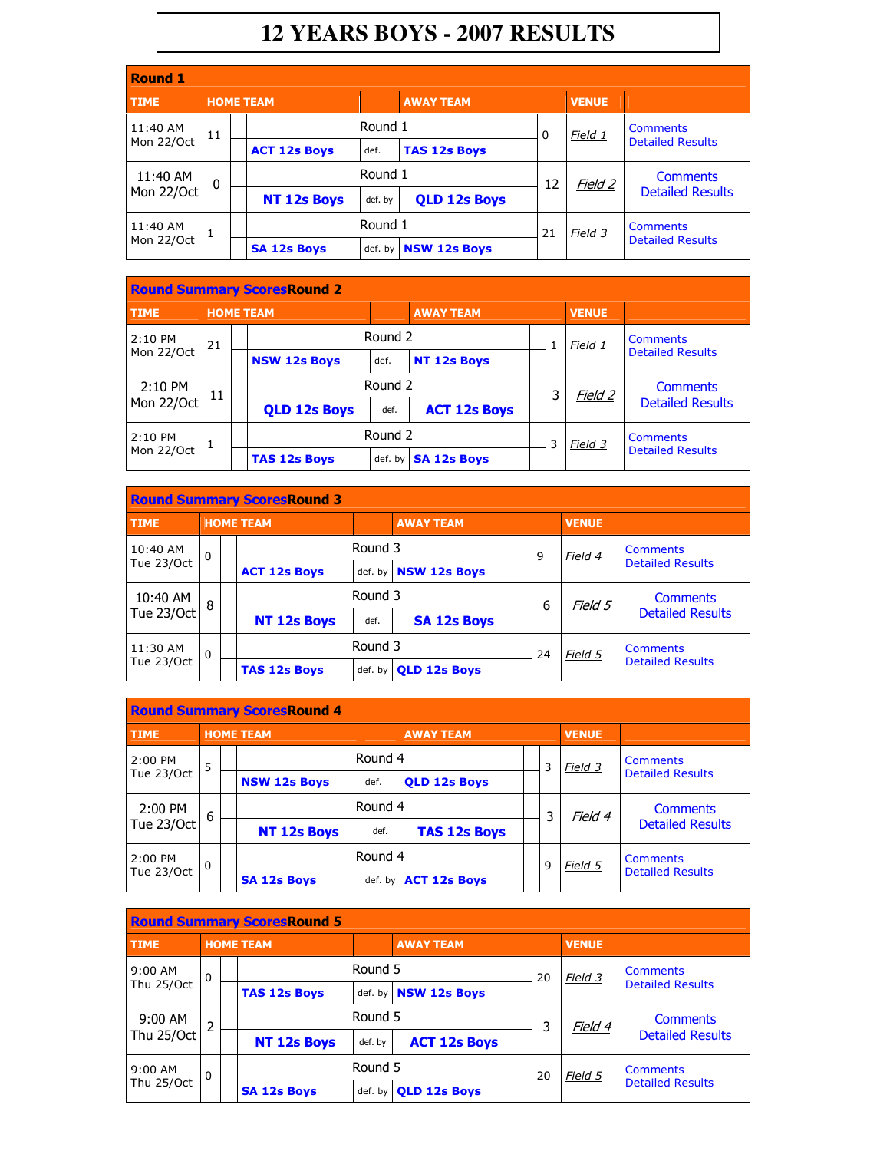## **12 YEARS BOYS - 2007 RESULTS**

| <b>Round 1</b>         |              |  |                     |         |                        |  |               |              |                                            |  |  |  |
|------------------------|--------------|--|---------------------|---------|------------------------|--|---------------|--------------|--------------------------------------------|--|--|--|
| <b>TIME</b>            |              |  | <b>HOME TEAM</b>    |         | <b>AWAY TEAM</b>       |  |               | <b>VENUE</b> |                                            |  |  |  |
| 11:40 AM               | 11           |  |                     | Round 1 |                        |  | 0             | Field 1      | Comments                                   |  |  |  |
| Mon 22/Oct             |              |  | <b>ACT 12s Boys</b> | def.    | <b>TAS 12s Boys</b>    |  |               |              | <b>Detailed Results</b>                    |  |  |  |
| 11:40 AM               | $\mathbf{0}$ |  |                     | Round 1 |                        |  | 12            | Field 2      | <b>Comments</b><br><b>Detailed Results</b> |  |  |  |
| Mon 22/Oct             |              |  | <b>NT 12s Boys</b>  | def. by | <b>QLD 12s Boys</b>    |  |               |              |                                            |  |  |  |
| 11:40 AM<br>Mon 22/Oct |              |  |                     | Round 1 |                        |  | 21<br>Field 3 |              | Comments                                   |  |  |  |
|                        |              |  | <b>SA 12s Boys</b>  |         | def. by   NSW 12s Boys |  |               |              | <b>Detailed Results</b>                    |  |  |  |

| <b>Round Summary Scores Round 2</b> |    |  |                     |         |                     |  |   |                |                         |  |
|-------------------------------------|----|--|---------------------|---------|---------------------|--|---|----------------|-------------------------|--|
| <b>TIME</b>                         |    |  | <b>HOME TEAM</b>    |         | <b>AWAY TEAM</b>    |  |   | <b>VENUE</b>   |                         |  |
| $2:10$ PM<br>21<br>Mon 22/Oct       |    |  |                     | Round 2 |                     |  | 1 | Field 1        | Comments                |  |
|                                     |    |  | <b>NSW 12s Boys</b> | def.    | <b>NT 12s Boys</b>  |  |   |                | <b>Detailed Results</b> |  |
| $2:10$ PM                           | 11 |  |                     | Round 2 |                     |  | 3 | <u>Field 2</u> | <b>Comments</b>         |  |
| Mon 22/Oct                          |    |  | <b>QLD 12s Boys</b> | def.    | <b>ACT 12s Boys</b> |  |   |                | <b>Detailed Results</b> |  |
| $2:10$ PM                           |    |  |                     | Round 2 |                     |  | 3 | Field 3        | <b>Comments</b>         |  |
| Mon 22/Oct                          |    |  | <b>TAS 12s Boys</b> | def. by | <b>SA 12s Boys</b>  |  |   |                | <b>Detailed Results</b> |  |

|             | <b>Round Summary ScoresRound 3</b> |  |                     |                        |                      |    |   |              |                                     |  |  |
|-------------|------------------------------------|--|---------------------|------------------------|----------------------|----|---|--------------|-------------------------------------|--|--|
| <b>TIME</b> |                                    |  | <b>HOME TEAM</b>    |                        | <b>AWAY TEAM</b>     |    |   | <b>VENUE</b> |                                     |  |  |
| 10:40 AM    | $\Omega$<br>Tue 23/Oct             |  |                     | Round 3                |                      |    | 9 | Field 4      | Comments<br><b>Detailed Results</b> |  |  |
|             |                                    |  | <b>ACT 12s Boys</b> |                        | def. by NSW 12s Boys |    |   |              |                                     |  |  |
| 10:40 AM    | 8                                  |  |                     | Round 3                |                      |    | 6 | Field 5      | <b>Comments</b>                     |  |  |
| Tue 23/Oct  |                                    |  | <b>NT 12s Boys</b>  | def.                   | <b>SA 12s Boys</b>   |    |   |              | <b>Detailed Results</b>             |  |  |
| 11:30 AM    | $\Omega$                           |  |                     | Round 3                |                      | 24 |   | Field 5      | Comments                            |  |  |
| Tue 23/Oct  |                                    |  | <b>TAS 12s Boys</b> | $def. by \blacksquare$ | <b>OLD 12s Boys</b>  |    |   |              | <b>Detailed Results</b>             |  |  |

| <b>Round Summary ScoresRound 4</b> |          |  |                     |         |                     |   |   |              |                         |  |
|------------------------------------|----------|--|---------------------|---------|---------------------|---|---|--------------|-------------------------|--|
| <b>TIME</b>                        |          |  | <b>HOME TEAM</b>    |         | <b>AWAY TEAM</b>    |   |   | <b>VENUE</b> |                         |  |
| 2:00 PM                            | 5        |  |                     | Round 4 |                     |   | 3 | Field 3      | Comments                |  |
| Tue 23/Oct                         |          |  | <b>NSW 12s Boys</b> | def.    | <b>OLD 12s Boys</b> |   |   |              | <b>Detailed Results</b> |  |
| 2:00 PM                            | 6        |  |                     | Round 4 |                     |   | 3 | Field 4      | <b>Comments</b>         |  |
| Tue 23/Oct                         |          |  | <b>NT 12s Boys</b>  | def.    | <b>TAS 12s Boys</b> |   |   |              | <b>Detailed Results</b> |  |
| 2:00 PM                            | $\Omega$ |  |                     | Round 4 |                     | 9 |   | Field 5      | Comments                |  |
| Tue 23/Oct                         |          |  | <b>SA 12s Boys</b>  | def. by | <b>ACT 12s Boys</b> |   |   |              | <b>Detailed Results</b> |  |

|             | <b>Round Summary ScoresRound 5</b> |  |                     |         |                      |    |    |              |                         |  |  |
|-------------|------------------------------------|--|---------------------|---------|----------------------|----|----|--------------|-------------------------|--|--|
| <b>TIME</b> |                                    |  | <b>HOME TEAM</b>    |         | <b>AWAY TEAM</b>     |    |    | <b>VENUE</b> |                         |  |  |
| $9:00$ AM   | $\Omega$                           |  |                     | Round 5 |                      |    | 20 | Field 3      | Comments                |  |  |
| Thu 25/Oct  |                                    |  | <b>TAS 12s Boys</b> |         | def. by NSW 12s Boys |    |    |              | <b>Detailed Results</b> |  |  |
| $9:00$ AM   | $\overline{2}$                     |  |                     | Round 5 |                      |    | 3  | Field 4      | <b>Comments</b>         |  |  |
| Thu 25/Oct  |                                    |  | <b>NT 12s Boys</b>  | def. by | <b>ACT 12s Boys</b>  |    |    |              | <b>Detailed Results</b> |  |  |
| $9:00$ AM   | $\Omega$                           |  |                     | Round 5 |                      | 20 |    | Field 5      | <b>Comments</b>         |  |  |
| Thu 25/Oct  |                                    |  | <b>SA 12s Boys</b>  | def. by | <b>QLD 12s Boys</b>  |    |    |              | <b>Detailed Results</b> |  |  |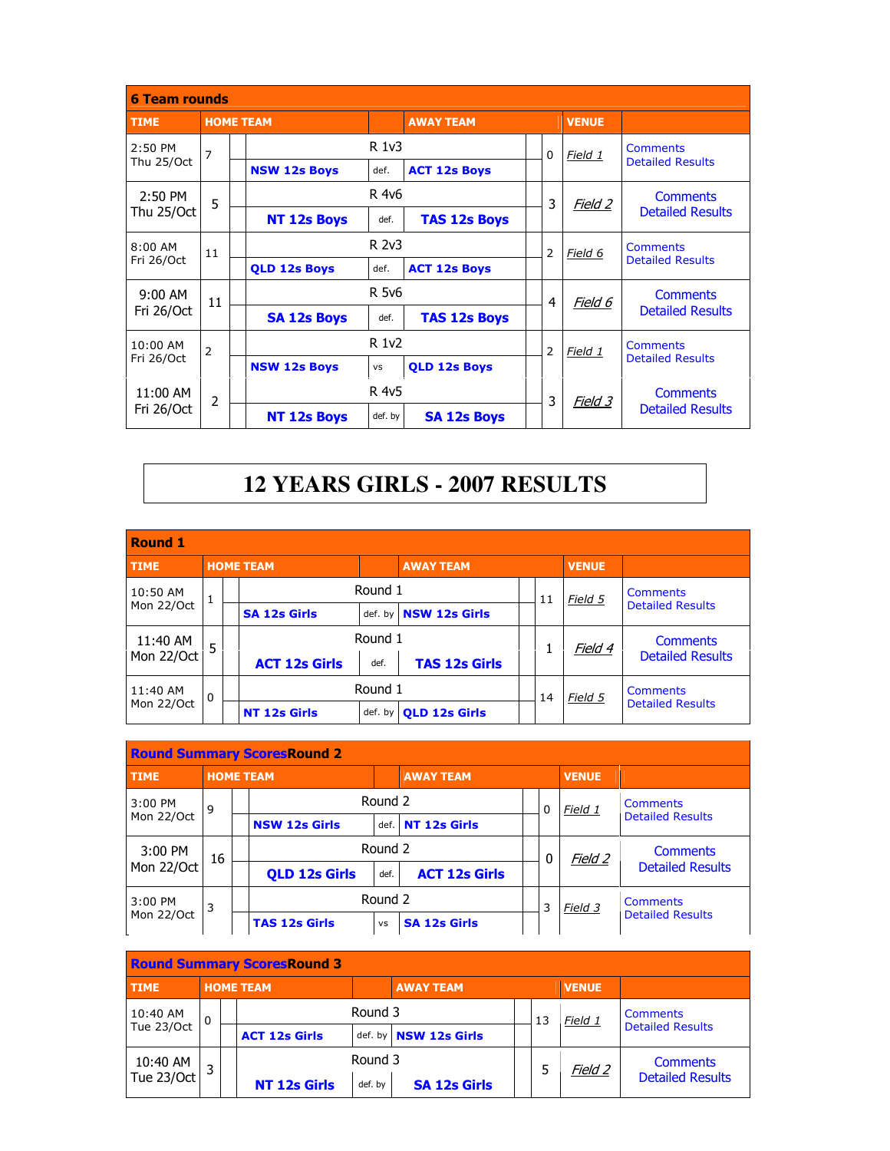| <b>6 Team rounds</b>   |                |                     |           |                     |   |          |              |                                            |
|------------------------|----------------|---------------------|-----------|---------------------|---|----------|--------------|--------------------------------------------|
| <b>TIME</b>            |                | <b>HOME TEAM</b>    |           | <b>AWAY TEAM</b>    |   |          | <b>VENUE</b> |                                            |
| $2:50$ PM              | 7              |                     | R 1v3     |                     |   | $\Omega$ | Field 1      | <b>Comments</b><br><b>Detailed Results</b> |
| Thu 25/Oct             |                | <b>NSW 12s Boys</b> | def.      | <b>ACT 12s Boys</b> |   |          |              |                                            |
| $2:50$ PM              | 5              |                     | R 4v6     |                     |   | 3        | Field 2      | <b>Comments</b>                            |
| Thu 25/Oct             |                | <b>NT 12s Boys</b>  | def.      | <b>TAS 12s Boys</b> |   |          |              | <b>Detailed Results</b>                    |
| $8:00$ AM              | 11             |                     | R 2v3     |                     |   | 2        | Field 6      | <b>Comments</b>                            |
| Fri 26/Oct             |                | <b>OLD 12s Boys</b> | def.      | <b>ACT 12s Boys</b> |   |          |              | <b>Detailed Results</b>                    |
| $9:00$ AM              | 11             |                     | R 5v6     |                     |   | 4        | Field 6      | <b>Comments</b>                            |
| Fri 26/Oct             |                | <b>SA 12s Boys</b>  | def.      | <b>TAS 12s Boys</b> |   |          |              | <b>Detailed Results</b>                    |
| $10:00$ AM             | 2              |                     | R 1v2     |                     |   | 2        | Field 1      | <b>Comments</b>                            |
| Fri 26/Oct             |                | <b>NSW 12s Boys</b> | <b>VS</b> | <b>OLD 12s Boys</b> |   |          |              | <b>Detailed Results</b>                    |
| 11:00 AM<br>Fri 26/Oct | $\overline{2}$ |                     | R 4v5     |                     | 3 |          | Field 3      | <b>Comments</b>                            |
|                        |                | <b>NT 12s Boys</b>  | def. by   | <b>SA 12s Boys</b>  |   |          |              | <b>Detailed Results</b>                    |

## **12 YEARS GIRLS - 2007 RESULTS**

| <b>Round 1</b> |          |  |                      |         |                       |  |    |              |                                            |  |
|----------------|----------|--|----------------------|---------|-----------------------|--|----|--------------|--------------------------------------------|--|
| <b>TIME</b>    |          |  | <b>HOME TEAM</b>     |         | <b>AWAY TEAM</b>      |  |    | <b>VENUE</b> |                                            |  |
| 10:50 AM       | 1        |  |                      | Round 1 |                       |  | 11 | Field 5      | <b>Comments</b>                            |  |
| Mon 22/Oct     |          |  | <b>SA 12s Girls</b>  |         | def. by NSW 12s Girls |  |    |              | <b>Detailed Results</b>                    |  |
| 11:40 AM       | 5        |  |                      | Round 1 |                       |  |    | Field 4      | <b>Comments</b><br><b>Detailed Results</b> |  |
| Mon 22/Oct     |          |  | <b>ACT 12s Girls</b> | def.    | <b>TAS 12s Girls</b>  |  |    |              |                                            |  |
| 11:40 AM       | $\Omega$ |  |                      | Round 1 |                       |  | 14 | Field 5      | <b>Comments</b>                            |  |
| Mon 22/Oct     |          |  | <b>NT 12s Girls</b>  | def. by | <b>OLD 12s Girls</b>  |  |    |              | <b>Detailed Results</b>                    |  |

| <b>Round Summary ScoresRound 2</b> |                  |  |                      |           |                      |  |          |              |                                            |  |
|------------------------------------|------------------|--|----------------------|-----------|----------------------|--|----------|--------------|--------------------------------------------|--|
| <b>TIME</b>                        | <b>HOME TEAM</b> |  |                      |           | <b>AWAY TEAM</b>     |  |          | <b>VENUE</b> |                                            |  |
| 3:00 PM                            | 9                |  |                      | Round 2   |                      |  | $\Omega$ | Field 1      | <b>Comments</b>                            |  |
| Mon 22/Oct                         |                  |  | <b>NSW 12s Girls</b> | def.      | NT 12s Girls         |  |          |              | <b>Detailed Results</b>                    |  |
| 3:00 PM                            | 16               |  |                      | Round 2   |                      |  | $\Omega$ | Field 2      | <b>Comments</b>                            |  |
| Mon 22/Oct                         |                  |  | <b>QLD 12s Girls</b> | def.      | <b>ACT 12s Girls</b> |  |          |              | <b>Detailed Results</b>                    |  |
| 3:00 PM                            | 3                |  |                      | Round 2   |                      |  | 3        | Field 3      | <b>Comments</b><br><b>Detailed Results</b> |  |
| Mon 22/Oct                         |                  |  | <b>TAS 12s Girls</b> | <b>VS</b> | <b>SA 12s Girls</b>  |  |          |              |                                            |  |

| <b>Round Summary ScoresRound 3</b> |             |  |                      |         |                       |  |    |              |                                            |  |
|------------------------------------|-------------|--|----------------------|---------|-----------------------|--|----|--------------|--------------------------------------------|--|
| <b>HOME TEAM</b><br><b>TIME</b>    |             |  |                      |         | <b>AWAY TEAM</b>      |  |    | <b>VENUE</b> |                                            |  |
| 10:40 AM                           | $\mathbf 0$ |  |                      | Round 3 |                       |  | 13 | Field 1      | <b>Comments</b>                            |  |
| Tue 23/Oct                         |             |  | <b>ACT 12s Girls</b> |         | def. by NSW 12s Girls |  |    |              | <b>Detailed Results</b>                    |  |
| 10:40 AM                           |             |  |                      | Round 3 |                       |  | 5  | Field 2      | <b>Comments</b><br><b>Detailed Results</b> |  |
| Tue 23/Oct                         |             |  | <b>NT 12s Girls</b>  | def. by | <b>SA 12s Girls</b>   |  |    |              |                                            |  |